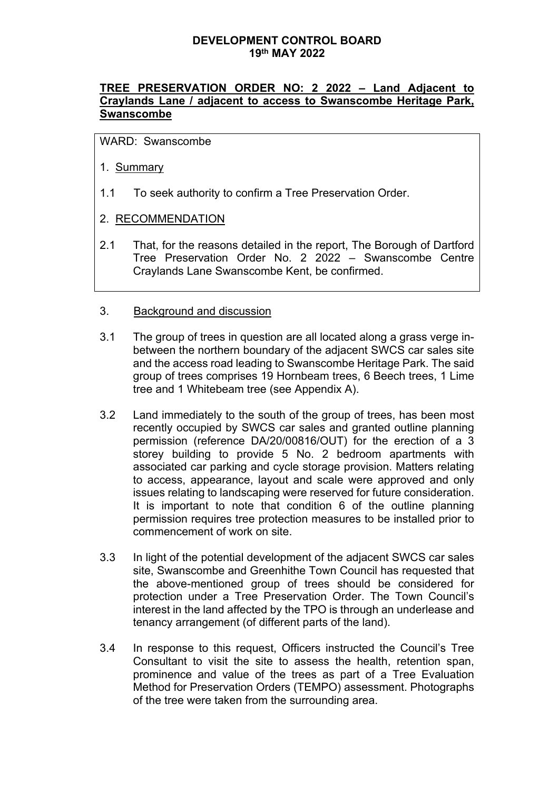## **TREE PRESERVATION ORDER NO: 2 2022 – Land Adjacent to Craylands Lane / adjacent to access to Swanscombe Heritage Park, Swanscombe**

WARD: Swanscombe

- 1. Summary
- 1.1 To seek authority to confirm a Tree Preservation Order.

## 2. RECOMMENDATION

2.1 That, for the reasons detailed in the report, The Borough of Dartford Tree Preservation Order No. 2 2022 – Swanscombe Centre Craylands Lane Swanscombe Kent, be confirmed.

## 3. Background and discussion

- 3.1 The group of trees in question are all located along a grass verge inbetween the northern boundary of the adjacent SWCS car sales site and the access road leading to Swanscombe Heritage Park. The said group of trees comprises 19 Hornbeam trees, 6 Beech trees, 1 Lime tree and 1 Whitebeam tree (see Appendix A).
- 3.2 Land immediately to the south of the group of trees, has been most recently occupied by SWCS car sales and granted outline planning permission (reference DA/20/00816/OUT) for the erection of a 3 storey building to provide 5 No. 2 bedroom apartments with associated car parking and cycle storage provision. Matters relating to access, appearance, layout and scale were approved and only issues relating to landscaping were reserved for future consideration. It is important to note that condition 6 of the outline planning permission requires tree protection measures to be installed prior to commencement of work on site.
- 3.3 In light of the potential development of the adjacent SWCS car sales site, Swanscombe and Greenhithe Town Council has requested that the above-mentioned group of trees should be considered for protection under a Tree Preservation Order. The Town Council's interest in the land affected by the TPO is through an underlease and tenancy arrangement (of different parts of the land).
- 3.4 In response to this request, Officers instructed the Council's Tree Consultant to visit the site to assess the health, retention span, prominence and value of the trees as part of a Tree Evaluation Method for Preservation Orders (TEMPO) assessment. Photographs of the tree were taken from the surrounding area.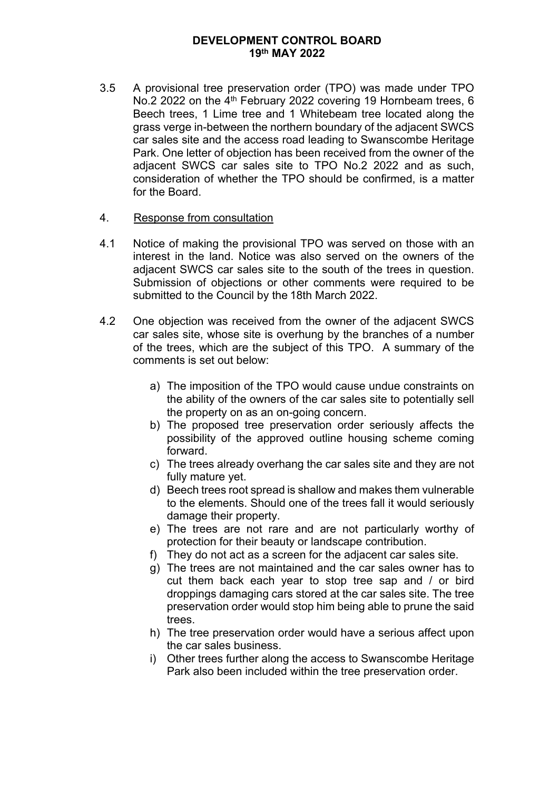3.5 A provisional tree preservation order (TPO) was made under TPO No.2 2022 on the 4<sup>th</sup> February 2022 covering 19 Hornbeam trees, 6 Beech trees, 1 Lime tree and 1 Whitebeam tree located along the grass verge in-between the northern boundary of the adjacent SWCS car sales site and the access road leading to Swanscombe Heritage Park. One letter of objection has been received from the owner of the adjacent SWCS car sales site to TPO No.2 2022 and as such, consideration of whether the TPO should be confirmed, is a matter for the Board.

#### 4. Response from consultation

- 4.1 Notice of making the provisional TPO was served on those with an interest in the land. Notice was also served on the owners of the adjacent SWCS car sales site to the south of the trees in question. Submission of objections or other comments were required to be submitted to the Council by the 18th March 2022.
- 4.2 One objection was received from the owner of the adjacent SWCS car sales site, whose site is overhung by the branches of a number of the trees, which are the subject of this TPO. A summary of the comments is set out below:
	- a) The imposition of the TPO would cause undue constraints on the ability of the owners of the car sales site to potentially sell the property on as an on-going concern.
	- b) The proposed tree preservation order seriously affects the possibility of the approved outline housing scheme coming forward.
	- c) The trees already overhang the car sales site and they are not fully mature yet.
	- d) Beech trees root spread is shallow and makes them vulnerable to the elements. Should one of the trees fall it would seriously damage their property.
	- e) The trees are not rare and are not particularly worthy of protection for their beauty or landscape contribution.
	- f) They do not act as a screen for the adjacent car sales site.
	- g) The trees are not maintained and the car sales owner has to cut them back each year to stop tree sap and / or bird droppings damaging cars stored at the car sales site. The tree preservation order would stop him being able to prune the said trees.
	- h) The tree preservation order would have a serious affect upon the car sales business.
	- i) Other trees further along the access to Swanscombe Heritage Park also been included within the tree preservation order.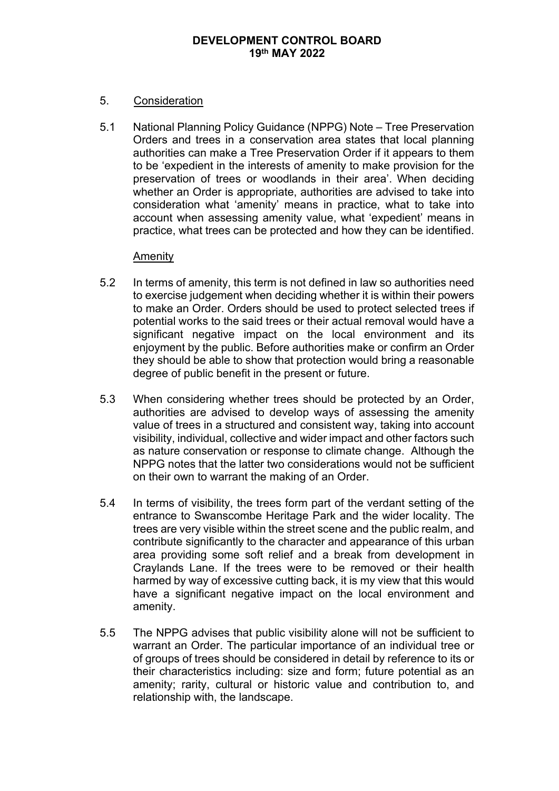## 5. Consideration

5.1 National Planning Policy Guidance (NPPG) Note – Tree Preservation Orders and trees in a conservation area states that local planning authorities can make a Tree Preservation Order if it appears to them to be 'expedient in the interests of amenity to make provision for the preservation of trees or woodlands in their area'. When deciding whether an Order is appropriate, authorities are advised to take into consideration what 'amenity' means in practice, what to take into account when assessing amenity value, what 'expedient' means in practice, what trees can be protected and how they can be identified.

#### Amenity

- 5.2 In terms of amenity, this term is not defined in law so authorities need to exercise judgement when deciding whether it is within their powers to make an Order. Orders should be used to protect selected trees if potential works to the said trees or their actual removal would have a significant negative impact on the local environment and its enjoyment by the public. Before authorities make or confirm an Order they should be able to show that protection would bring a reasonable degree of public benefit in the present or future.
- 5.3 When considering whether trees should be protected by an Order, authorities are advised to develop ways of assessing the amenity value of trees in a structured and consistent way, taking into account visibility, individual, collective and wider impact and other factors such as nature conservation or response to climate change. Although the NPPG notes that the latter two considerations would not be sufficient on their own to warrant the making of an Order.
- 5.4 In terms of visibility, the trees form part of the verdant setting of the entrance to Swanscombe Heritage Park and the wider locality. The trees are very visible within the street scene and the public realm, and contribute significantly to the character and appearance of this urban area providing some soft relief and a break from development in Craylands Lane. If the trees were to be removed or their health harmed by way of excessive cutting back, it is my view that this would have a significant negative impact on the local environment and amenity.
- 5.5 The NPPG advises that public visibility alone will not be sufficient to warrant an Order. The particular importance of an individual tree or of groups of trees should be considered in detail by reference to its or their characteristics including: size and form; future potential as an amenity; rarity, cultural or historic value and contribution to, and relationship with, the landscape.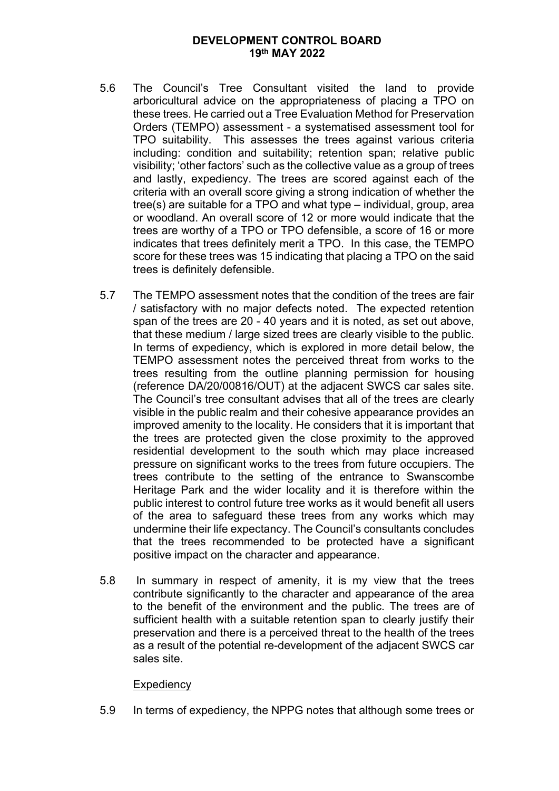- 5.6 The Council's Tree Consultant visited the land to provide arboricultural advice on the appropriateness of placing a TPO on these trees. He carried out a Tree Evaluation Method for Preservation Orders (TEMPO) assessment - a systematised assessment tool for TPO suitability. This assesses the trees against various criteria including: condition and suitability; retention span; relative public visibility; 'other factors' such as the collective value as a group of trees and lastly, expediency. The trees are scored against each of the criteria with an overall score giving a strong indication of whether the tree(s) are suitable for a TPO and what type – individual, group, area or woodland. An overall score of 12 or more would indicate that the trees are worthy of a TPO or TPO defensible, a score of 16 or more indicates that trees definitely merit a TPO. In this case, the TEMPO score for these trees was 15 indicating that placing a TPO on the said trees is definitely defensible.
- 5.7 The TEMPO assessment notes that the condition of the trees are fair / satisfactory with no major defects noted. The expected retention span of the trees are 20 - 40 years and it is noted, as set out above, that these medium / large sized trees are clearly visible to the public. In terms of expediency, which is explored in more detail below, the TEMPO assessment notes the perceived threat from works to the trees resulting from the outline planning permission for housing (reference DA/20/00816/OUT) at the adjacent SWCS car sales site. The Council's tree consultant advises that all of the trees are clearly visible in the public realm and their cohesive appearance provides an improved amenity to the locality. He considers that it is important that the trees are protected given the close proximity to the approved residential development to the south which may place increased pressure on significant works to the trees from future occupiers. The trees contribute to the setting of the entrance to Swanscombe Heritage Park and the wider locality and it is therefore within the public interest to control future tree works as it would benefit all users of the area to safeguard these trees from any works which may undermine their life expectancy. The Council's consultants concludes that the trees recommended to be protected have a significant positive impact on the character and appearance.
- 5.8 In summary in respect of amenity, it is my view that the trees contribute significantly to the character and appearance of the area to the benefit of the environment and the public. The trees are of sufficient health with a suitable retention span to clearly justify their preservation and there is a perceived threat to the health of the trees as a result of the potential re-development of the adjacent SWCS car sales site.

#### **Expediency**

5.9 In terms of expediency, the NPPG notes that although some trees or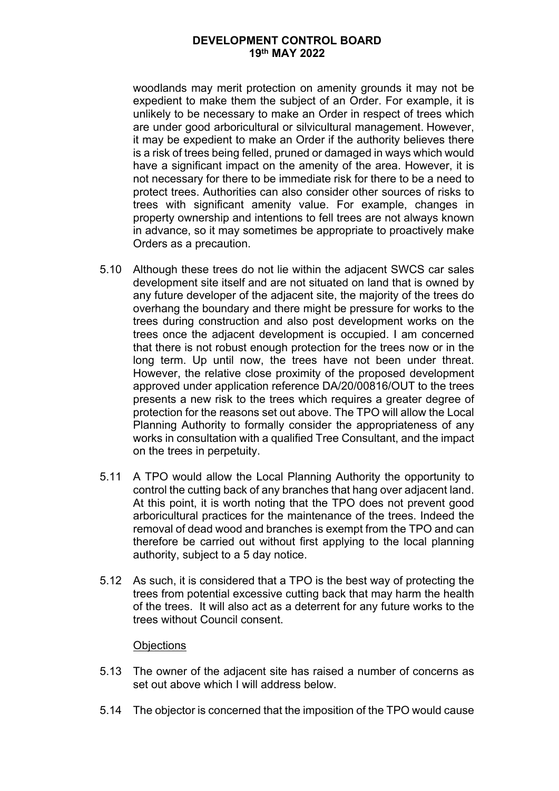woodlands may merit protection on amenity grounds it may not be expedient to make them the subject of an Order. For example, it is unlikely to be necessary to make an Order in respect of trees which are under good arboricultural or silvicultural management. However, it may be expedient to make an Order if the authority believes there is a risk of trees being felled, pruned or damaged in ways which would have a significant impact on the amenity of the area. However, it is not necessary for there to be immediate risk for there to be a need to protect trees. Authorities can also consider other sources of risks to trees with significant amenity value. For example, changes in property ownership and intentions to fell trees are not always known in advance, so it may sometimes be appropriate to proactively make Orders as a precaution.

- 5.10 Although these trees do not lie within the adjacent SWCS car sales development site itself and are not situated on land that is owned by any future developer of the adjacent site, the majority of the trees do overhang the boundary and there might be pressure for works to the trees during construction and also post development works on the trees once the adjacent development is occupied. I am concerned that there is not robust enough protection for the trees now or in the long term. Up until now, the trees have not been under threat. However, the relative close proximity of the proposed development approved under application reference DA/20/00816/OUT to the trees presents a new risk to the trees which requires a greater degree of protection for the reasons set out above. The TPO will allow the Local Planning Authority to formally consider the appropriateness of any works in consultation with a qualified Tree Consultant, and the impact on the trees in perpetuity.
- 5.11 A TPO would allow the Local Planning Authority the opportunity to control the cutting back of any branches that hang over adjacent land. At this point, it is worth noting that the TPO does not prevent good arboricultural practices for the maintenance of the trees. Indeed the removal of dead wood and branches is exempt from the TPO and can therefore be carried out without first applying to the local planning authority, subject to a 5 day notice.
- 5.12 As such, it is considered that a TPO is the best way of protecting the trees from potential excessive cutting back that may harm the health of the trees. It will also act as a deterrent for any future works to the trees without Council consent.

#### **Objections**

- 5.13 The owner of the adjacent site has raised a number of concerns as set out above which I will address below.
- 5.14 The objector is concerned that the imposition of the TPO would cause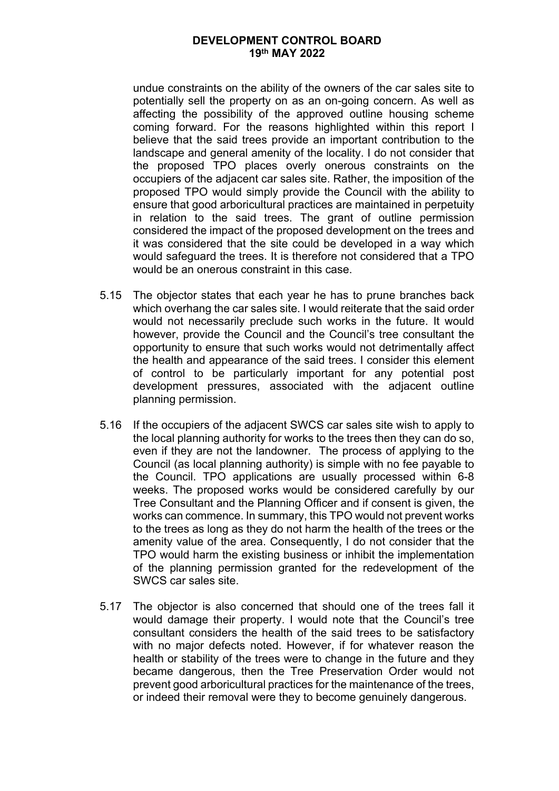undue constraints on the ability of the owners of the car sales site to potentially sell the property on as an on-going concern. As well as affecting the possibility of the approved outline housing scheme coming forward. For the reasons highlighted within this report I believe that the said trees provide an important contribution to the landscape and general amenity of the locality. I do not consider that the proposed TPO places overly onerous constraints on the occupiers of the adjacent car sales site. Rather, the imposition of the proposed TPO would simply provide the Council with the ability to ensure that good arboricultural practices are maintained in perpetuity in relation to the said trees. The grant of outline permission considered the impact of the proposed development on the trees and it was considered that the site could be developed in a way which would safeguard the trees. It is therefore not considered that a TPO would be an onerous constraint in this case.

- 5.15 The objector states that each year he has to prune branches back which overhang the car sales site. I would reiterate that the said order would not necessarily preclude such works in the future. It would however, provide the Council and the Council's tree consultant the opportunity to ensure that such works would not detrimentally affect the health and appearance of the said trees. I consider this element of control to be particularly important for any potential post development pressures, associated with the adjacent outline planning permission.
- 5.16 If the occupiers of the adjacent SWCS car sales site wish to apply to the local planning authority for works to the trees then they can do so, even if they are not the landowner. The process of applying to the Council (as local planning authority) is simple with no fee payable to the Council. TPO applications are usually processed within 6-8 weeks. The proposed works would be considered carefully by our Tree Consultant and the Planning Officer and if consent is given, the works can commence. In summary, this TPO would not prevent works to the trees as long as they do not harm the health of the trees or the amenity value of the area. Consequently, I do not consider that the TPO would harm the existing business or inhibit the implementation of the planning permission granted for the redevelopment of the SWCS car sales site.
- 5.17 The objector is also concerned that should one of the trees fall it would damage their property. I would note that the Council's tree consultant considers the health of the said trees to be satisfactory with no major defects noted. However, if for whatever reason the health or stability of the trees were to change in the future and they became dangerous, then the Tree Preservation Order would not prevent good arboricultural practices for the maintenance of the trees, or indeed their removal were they to become genuinely dangerous.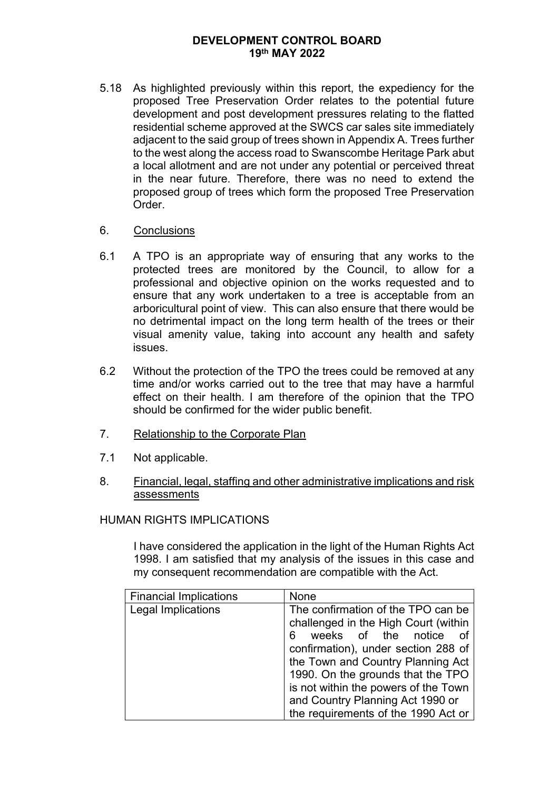5.18 As highlighted previously within this report, the expediency for the proposed Tree Preservation Order relates to the potential future development and post development pressures relating to the flatted residential scheme approved at the SWCS car sales site immediately adjacent to the said group of trees shown in Appendix A. Trees further to the west along the access road to Swanscombe Heritage Park abut a local allotment and are not under any potential or perceived threat in the near future. Therefore, there was no need to extend the proposed group of trees which form the proposed Tree Preservation Order.

## 6. Conclusions

- 6.1 A TPO is an appropriate way of ensuring that any works to the protected trees are monitored by the Council, to allow for a professional and objective opinion on the works requested and to ensure that any work undertaken to a tree is acceptable from an arboricultural point of view. This can also ensure that there would be no detrimental impact on the long term health of the trees or their visual amenity value, taking into account any health and safety issues.
- 6.2 Without the protection of the TPO the trees could be removed at any time and/or works carried out to the tree that may have a harmful effect on their health. I am therefore of the opinion that the TPO should be confirmed for the wider public benefit.
- 7. Relationship to the Corporate Plan
- 7.1 Not applicable.
- 8. Financial, legal, staffing and other administrative implications and risk assessments

## HUMAN RIGHTS IMPLICATIONS

I have considered the application in the light of the Human Rights Act 1998. I am satisfied that my analysis of the issues in this case and my consequent recommendation are compatible with the Act.

| <b>Financial Implications</b> | None                                                                                                                                                                                                                                                                                                                                               |
|-------------------------------|----------------------------------------------------------------------------------------------------------------------------------------------------------------------------------------------------------------------------------------------------------------------------------------------------------------------------------------------------|
| Legal Implications            | The confirmation of the TPO can be<br>challenged in the High Court (within<br>weeks of the notice of<br>6.<br>confirmation), under section 288 of<br>the Town and Country Planning Act<br>1990. On the grounds that the TPO<br>is not within the powers of the Town<br>and Country Planning Act 1990 or<br>the requirements of the 1990 Act or $ $ |